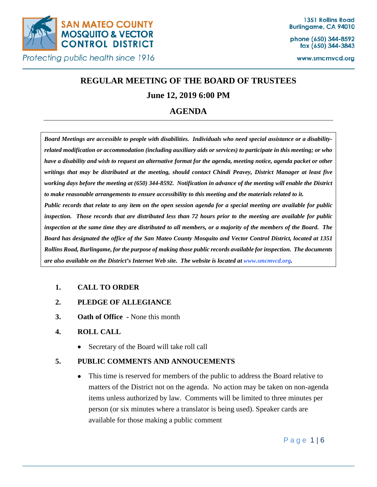

phone (650) 344-8592 fax (650) 344-3843

www.smcmvcd.org

# **REGULAR MEETING OF THE BOARD OF TRUSTEES**

## **June 12, 2019 6:00 PM**

## **AGENDA**

*Board Meetings are accessible to people with disabilities. Individuals who need special assistance or a disabilityrelated modification or accommodation (including auxiliary aids or services) to participate in this meeting; or who have a disability and wish to request an alternative format for the agenda, meeting notice, agenda packet or other writings that may be distributed at the meeting, should contact Chindi Peavey, District Manager at least five working days before the meeting at (650) 344-8592. Notification in advance of the meeting will enable the District to make reasonable arrangements to ensure accessibility to this meeting and the materials related to it. Public records that relate to any item on the open session agenda for a special meeting are available for public inspection. Those records that are distributed less than 72 hours prior to the meeting are available for public inspection at the same time they are distributed to all members, or a majority of the members of the Board. The Board has designated the office of the San Mateo County Mosquito and Vector Control District, located at 1351 Rollins Road, Burlingame, for the purpose of making those public records available for inspection. The documents are also available on the District's Internet Web site. The website is located at www.smcmvcd.org.* 

## **1. CALL TO ORDER**

- **2. PLEDGE OF ALLEGIANCE**
- **3. Oath of Office -** None this month
- **4. ROLL CALL**
	- Secretary of the Board will take roll call

## **5. PUBLIC COMMENTS AND ANNOUCEMENTS**

• This time is reserved for members of the public to address the Board relative to matters of the District not on the agenda. No action may be taken on non-agenda items unless authorized by law. Comments will be limited to three minutes per person (or six minutes where a translator is being used). Speaker cards are available for those making a public comment

Page 1 | 6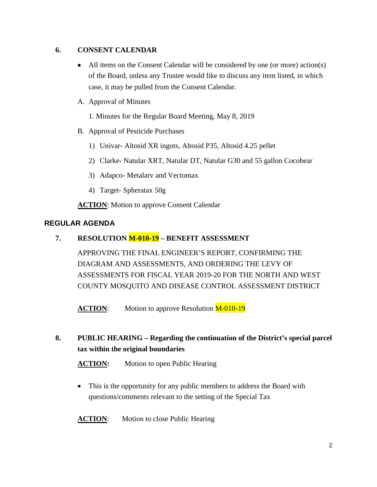## **6. CONSENT CALENDAR**

- All items on the Consent Calendar will be considered by one (or more) action(s) of the Board, unless any Trustee would like to discuss any item listed, in which case, it may be pulled from the Consent Calendar.
- A. Approval of Minutes

1. Minutes for the Regular Board Meeting, May 8, 2019

- B. Approval of Pesticide Purchases
	- 1) Univar- Altosid XR ingots, Altosid P35, Altosid 4.25 pellet
	- 2) Clarke- Natular XRT, Natular DT, Natular G30 and 55 gallon Cocobear
	- 3) Adapco- Metalarv and Vectomax
	- 4) Target- Spheratax 50g

**ACTION:** Motion to approve Consent Calendar

## **REGULAR AGENDA**

## **7. RESOLUTION M-010-19 – BENEFIT ASSESSMENT**

APPROVING THE FINAL ENGINEER'S REPORT, CONFIRMING THE DIAGRAM AND ASSESSMENTS, AND ORDERING THE LEVY OF ASSESSMENTS FOR FISCAL YEAR 2019-20 FOR THE NORTH AND WEST COUNTY MOSQUITO AND DISEASE CONTROL ASSESSMENT DISTRICT

**ACTION:** Motion to approve Resolution M-010-19

## **8. PUBLIC HEARING – Regarding the continuation of the District's special parcel tax within the original boundaries**

**ACTION:** Motion to open Public Hearing

• This is the opportunity for any public members to address the Board with questions/comments relevant to the setting of the Special Tax

**ACTION:** Motion to close Public Hearing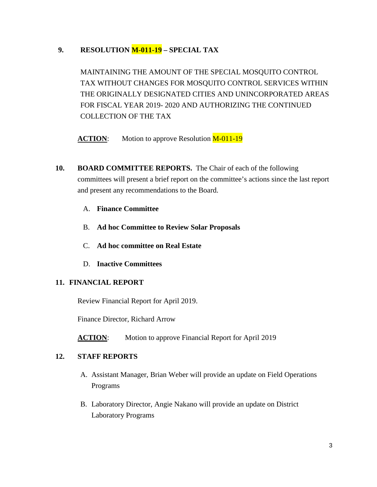## **9. RESOLUTION M-011-19 – SPECIAL TAX**

MAINTAINING THE AMOUNT OF THE SPECIAL MOSQUITO CONTROL TAX WITHOUT CHANGES FOR MOSQUITO CONTROL SERVICES WITHIN THE ORIGINALLY DESIGNATED CITIES AND UNINCORPORATED AREAS FOR FISCAL YEAR 2019- 2020 AND AUTHORIZING THE CONTINUED COLLECTION OF THE TAX

ACTION: Motion to approve Resolution M-011-19

- **10. BOARD COMMITTEE REPORTS.** The Chair of each of the following committees will present a brief report on the committee's actions since the last report and present any recommendations to the Board.
	- A. **Finance Committee**
	- B. **Ad hoc Committee to Review Solar Proposals**
	- C. **Ad hoc committee on Real Estate**
	- D. **Inactive Committees**

## **11. FINANCIAL REPORT**

Review Financial Report for April 2019.

Finance Director, Richard Arrow

**ACTION:** Motion to approve Financial Report for April 2019

#### **12. STAFF REPORTS**

- A. Assistant Manager, Brian Weber will provide an update on Field Operations Programs
- B. Laboratory Director, Angie Nakano will provide an update on District Laboratory Programs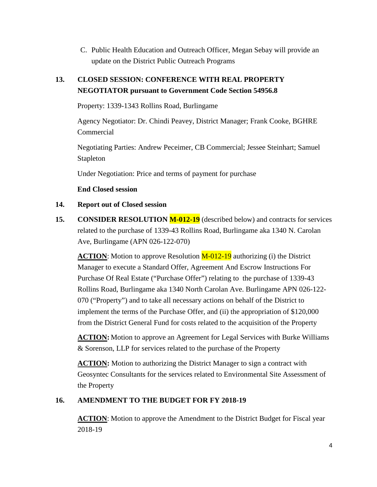C. Public Health Education and Outreach Officer, Megan Sebay will provide an update on the District Public Outreach Programs

## **13. CLOSED SESSION: CONFERENCE WITH REAL PROPERTY NEGOTIATOR pursuant to Government Code Section 54956.8**

Property: 1339-1343 Rollins Road, Burlingame

Agency Negotiator: Dr. Chindi Peavey, District Manager; Frank Cooke, BGHRE Commercial

Negotiating Parties: Andrew Peceimer, CB Commercial; Jessee Steinhart; Samuel Stapleton

Under Negotiation: Price and terms of payment for purchase

**End Closed session**

#### **14. Report out of Closed session**

**15. CONSIDER RESOLUTION M-012-19** (described below) and contracts for services related to the purchase of 1339-43 Rollins Road, Burlingame aka 1340 N. Carolan Ave, Burlingame (APN 026-122-070)

**ACTION**: Motion to approve Resolution **M-012-19** authorizing (i) the District Manager to execute a Standard Offer, Agreement And Escrow Instructions For Purchase Of Real Estate ("Purchase Offer") relating to the purchase of 1339-43 Rollins Road, Burlingame aka 1340 North Carolan Ave. Burlingame APN 026-122- 070 ("Property") and to take all necessary actions on behalf of the District to implement the terms of the Purchase Offer, and (ii) the appropriation of \$120,000 from the District General Fund for costs related to the acquisition of the Property

**ACTION:** Motion to approve an Agreement for Legal Services with Burke Williams & Sorenson, LLP for services related to the purchase of the Property

**ACTION:** Motion to authorizing the District Manager to sign a contract with Geosyntec Consultants for the services related to Environmental Site Assessment of the Property

### **16. AMENDMENT TO THE BUDGET FOR FY 2018-19**

**ACTION**: Motion to approve the Amendment to the District Budget for Fiscal year 2018-19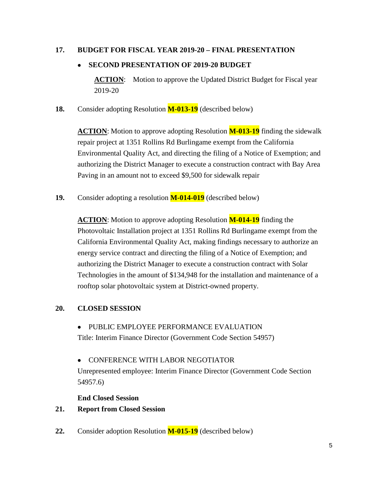### **17. BUDGET FOR FISCAL YEAR 2019-20 – FINAL PRESENTATION**

#### • **SECOND PRESENTATION OF 2019-20 BUDGET**

**ACTION:** Motion to approve the Updated District Budget for Fiscal year 2019-20

**18.** Consider adopting Resolution **M-013-19** (described below)

**ACTION**: Motion to approve adopting Resolution **M-013-19** finding the sidewalk repair project at 1351 Rollins Rd Burlingame exempt from the California Environmental Quality Act, and directing the filing of a Notice of Exemption; and authorizing the District Manager to execute a construction contract with Bay Area Paving in an amount not to exceed \$9,500 for sidewalk repair

**19.** Consider adopting a resolution **M-014-019** (described below)

**ACTION**: Motion to approve adopting Resolution **M-014-19** finding the Photovoltaic Installation project at 1351 Rollins Rd Burlingame exempt from the California Environmental Quality Act, making findings necessary to authorize an energy service contract and directing the filing of a Notice of Exemption; and authorizing the District Manager to execute a construction contract with Solar Technologies in the amount of \$134,948 for the installation and maintenance of a rooftop solar photovoltaic system at District-owned property.

### **20. CLOSED SESSION**

• PUBLIC EMPLOYEE PERFORMANCE EVALUATION

Title: Interim Finance Director (Government Code Section 54957)

• CONFERENCE WITH LABOR NEGOTIATOR

Unrepresented employee: Interim Finance Director (Government Code Section 54957.6)

#### **End Closed Session**

### **21. Report from Closed Session**

**22.** Consider adoption Resolution **M-015-19** (described below)